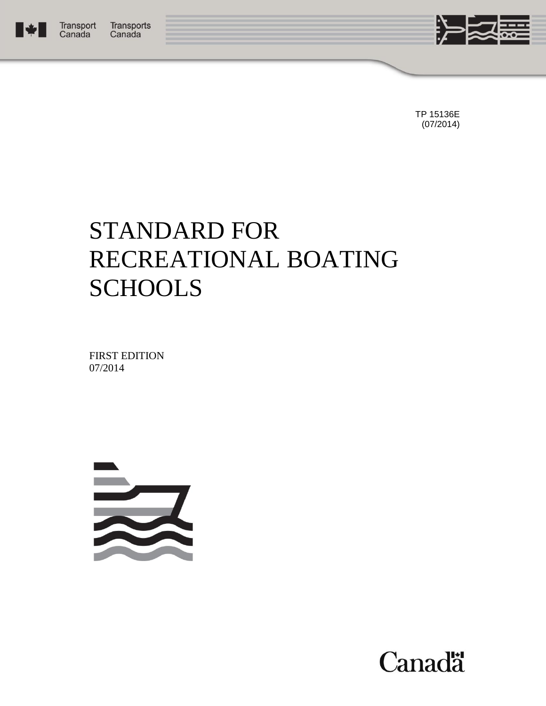



TP 15136E (07/2014)

# STANDARD FOR RECREATIONAL BOATING **SCHOOLS**

FIRST EDITION 07/2014



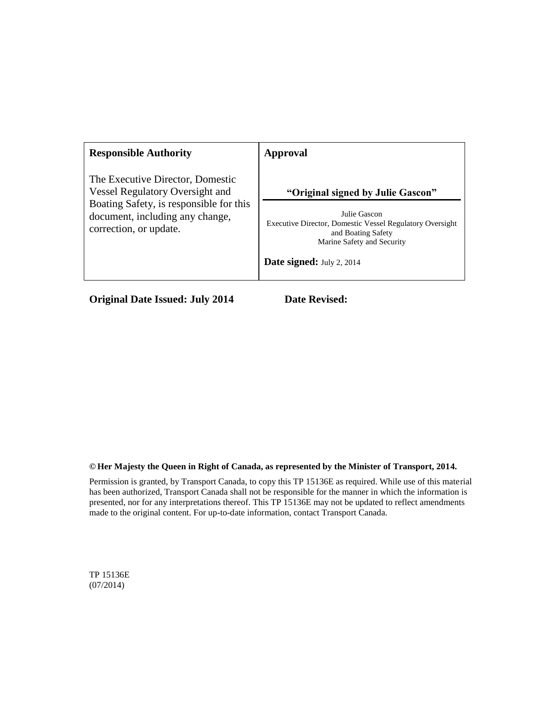| <b>Responsible Authority</b>                                                                         | Approval                                                                                                                                                         |
|------------------------------------------------------------------------------------------------------|------------------------------------------------------------------------------------------------------------------------------------------------------------------|
| The Executive Director, Domestic<br><b>Vessel Regulatory Oversight and</b>                           | "Original signed by Julie Gascon"                                                                                                                                |
| Boating Safety, is responsible for this<br>document, including any change,<br>correction, or update. | Julie Gascon<br>Executive Director, Domestic Vessel Regulatory Oversight<br>and Boating Safety<br>Marine Safety and Security<br><b>Date signed:</b> July 2, 2014 |
|                                                                                                      |                                                                                                                                                                  |

**Original Date Issued: July 2014 Date Revised:** 

#### **© Her Majesty the Queen in Right of Canada, as represented by the Minister of Transport, 2014.**

Permission is granted, by Transport Canada, to copy this TP 15136E as required. While use of this material has been authorized, Transport Canada shall not be responsible for the manner in which the information is presented, nor for any interpretations thereof. This TP 15136E may not be updated to reflect amendments made to the original content. For up-to-date information, contact Transport Canada.

TP 15136E (07/2014)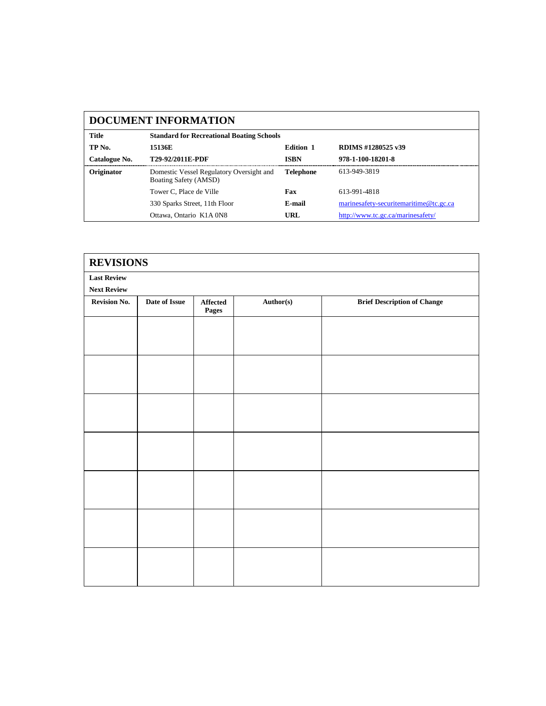|                                                           | <b>DOCUMENT INFORMATION</b>                                       |                  |                                        |  |  |
|-----------------------------------------------------------|-------------------------------------------------------------------|------------------|----------------------------------------|--|--|
| Title<br><b>Standard for Recreational Boating Schools</b> |                                                                   |                  |                                        |  |  |
| TP No.                                                    | 15136E                                                            | <b>Edition 1</b> | RDIMS #1280525 v39                     |  |  |
| Catalogue No.                                             | <b>T29-92/2011E-PDF</b>                                           | <b>ISBN</b>      | 978-1-100-18201-8                      |  |  |
| Originator                                                | Domestic Vessel Regulatory Oversight and<br>Boating Safety (AMSD) | <b>Telephone</b> | 613-949-3819                           |  |  |
|                                                           | Tower C. Place de Ville                                           | Fax              | 613-991-4818                           |  |  |
|                                                           | 330 Sparks Street, 11th Floor                                     | E-mail           | marinesafety-securitemaritime@tc.gc.ca |  |  |
|                                                           | Ottawa, Ontario K1A 0N8                                           | URL              | http://www.tc.gc.ca/marinesafety/      |  |  |

| <b>REVISIONS</b>   |               |                   |           |                                    |
|--------------------|---------------|-------------------|-----------|------------------------------------|
| <b>Last Review</b> |               |                   |           |                                    |
| <b>Next Review</b> |               |                   |           |                                    |
| Revision No.       | Date of Issue | Affected<br>Pages | Author(s) | <b>Brief Description of Change</b> |
|                    |               |                   |           |                                    |
|                    |               |                   |           |                                    |
|                    |               |                   |           |                                    |
|                    |               |                   |           |                                    |
|                    |               |                   |           |                                    |
|                    |               |                   |           |                                    |
|                    |               |                   |           |                                    |
|                    |               |                   |           |                                    |
|                    |               |                   |           |                                    |
|                    |               |                   |           |                                    |
|                    |               |                   |           |                                    |
|                    |               |                   |           |                                    |
|                    |               |                   |           |                                    |
|                    |               |                   |           |                                    |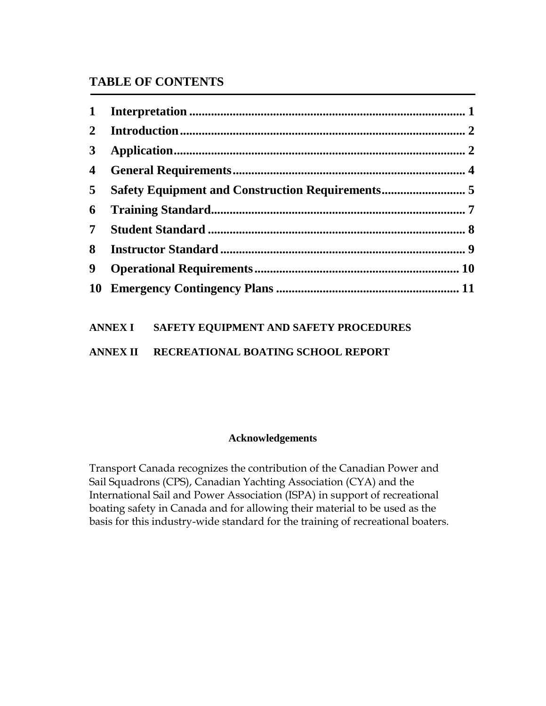## **TABLE OF CONTENTS**

| $\mathbf{1}$            |                                                  |  |
|-------------------------|--------------------------------------------------|--|
| $\overline{2}$          |                                                  |  |
| $3^{\circ}$             |                                                  |  |
| $\overline{\mathbf{4}}$ |                                                  |  |
| 5                       | Safety Equipment and Construction Requirements 5 |  |
| 6                       |                                                  |  |
| 7 <sup>1</sup>          |                                                  |  |
| 8                       |                                                  |  |
| 9                       |                                                  |  |
|                         |                                                  |  |

| ANNEX I | <b>SAFETY EQUIPMENT AND SAFETY PROCEDURES</b> |
|---------|-----------------------------------------------|
|         |                                               |

**ANNEX II RECREATIONAL BOATING SCHOOL REPORT**

## **Acknowledgements**

Transport Canada recognizes the contribution of the Canadian Power and Sail Squadrons (CPS), Canadian Yachting Association (CYA) and the International Sail and Power Association (ISPA) in support of recreational boating safety in Canada and for allowing their material to be used as the basis for this industry-wide standard for the training of recreational boaters.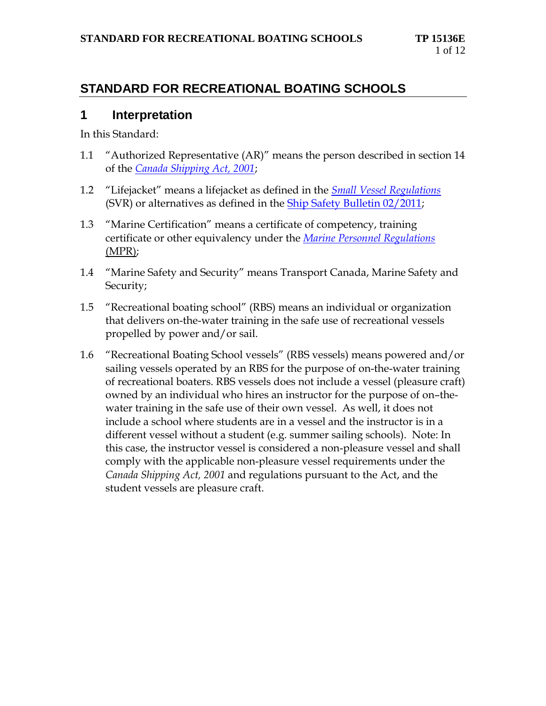## **STANDARD FOR RECREATIONAL BOATING SCHOOLS**

## <span id="page-4-0"></span>**1 Interpretation**

In this Standard:

- 1.1 "Authorized Representative (AR)" means the person described in section 14 of the *[Canada Shipping Act, 2001](http://laws-lois.justice.gc.ca/eng/acts/C-10.15/)*;
- 1.2 "Lifejacket" means a lifejacket as defined in the *[Small Vessel Regulations](http://laws-lois.justice.gc.ca/eng/regulations/SOR-2010-91/index.html)* (SVR) or alternatives as defined in the [Ship Safety Bulletin 02/2011;](http://www.tc.gc.ca/eng/marinesafety/bulletins-2011-02-eng.htm)
- 1.3 "Marine Certification" means a certificate of competency, training certificate or other equivalency under the *[Marine Personnel Regulations](http://laws-lois.justice.gc.ca/eng/regulations/SOR-2007-115/index.html)* (MPR);
- 1.4 "Marine Safety and Security" means Transport Canada, Marine Safety and Security;
- 1.5 "Recreational boating school" (RBS) means an individual or organization that delivers on-the-water training in the safe use of recreational vessels propelled by power and/or sail.
- <span id="page-4-1"></span>1.6 "Recreational Boating School vessels" (RBS vessels) means powered and/or sailing vessels operated by an RBS for the purpose of on-the-water training of recreational boaters. RBS vessels does not include a vessel (pleasure craft) owned by an individual who hires an instructor for the purpose of on–thewater training in the safe use of their own vessel. As well, it does not include a school where students are in a vessel and the instructor is in a different vessel without a student (e.g. summer sailing schools). Note: In this case, the instructor vessel is considered a non-pleasure vessel and shall comply with the applicable non-pleasure vessel requirements under the *Canada Shipping Act, 2001* and regulations pursuant to the Act, and the student vessels are pleasure craft.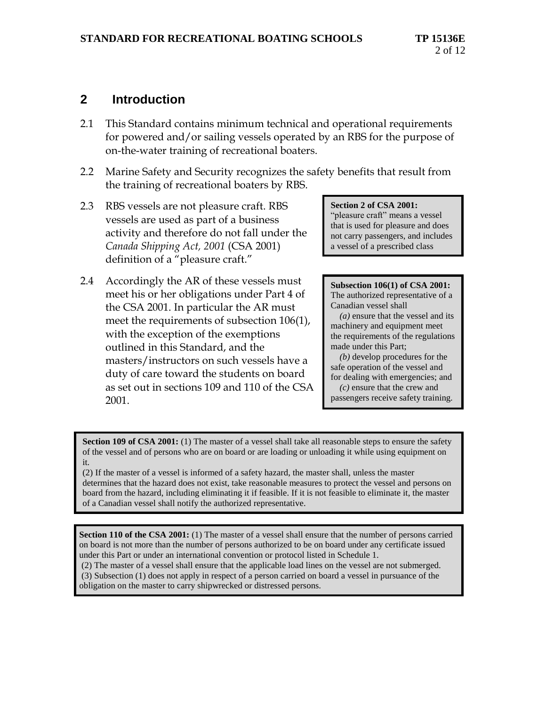## **2 Introduction**

- 2.1 This Standard contains minimum technical and operational requirements for powered and/or sailing vessels operated by an RBS for the purpose of on-the-water training of recreational boaters.
- 2.2 Marine Safety and Security recognizes the safety benefits that result from the training of recreational boaters by RBS.
- 2.3 RBS vessels are not pleasure craft. RBS vessels are used as part of a business activity and therefore do not fall under the *Canada Shipping Act, 2001* (CSA 2001) definition of a "pleasure craft."
- 2.4 Accordingly the AR of these vessels must meet his or her obligations under Part 4 of the CSA 2001. In particular the AR must meet the requirements of subsection 106(1), with the exception of the exemptions outlined in this Standard, and the masters/instructors on such vessels have a duty of care toward the students on board as set out in sections 109 and 110 of the CSA 2001.

#### **Section 2 of CSA 2001:**

"pleasure craft" means a vessel that is used for pleasure and does not carry passengers, and includes a vessel of a prescribed class

#### **Subsection 106(1) of CSA 2001:** The authorized representative of a Canadian vessel shall

 *(a)* ensure that the vessel and its machinery and equipment meet the requirements of the regulations made under this Part;

 *(b)* develop procedures for the safe operation of the vessel and for dealing with emergencies; and

 *(c)* ensure that the crew and passengers receive safety training.

**Section 109 of CSA 2001:** (1) The master of a vessel shall take all reasonable steps to ensure the safety of the vessel and of persons who are on board or are loading or unloading it while using equipment on it.

(2) If the master of a vessel is informed of a safety hazard, the master shall, unless the master determines that the hazard does not exist, take reasonable measures to protect the vessel and persons on board from the hazard, including eliminating it if feasible. If it is not feasible to eliminate it, the master of a Canadian vessel shall notify the authorized representative.

<span id="page-5-0"></span>**3 Section 110 of the CSA 2001:** (1) The master of a vessel shall ensure that the number of persons carried on board is not more than the number of persons authorized to be on board under any certificate issued under this Part or under an international convention or protocol listed in Schedule 1.

(2) The master of a vessel shall ensure that the applicable load lines on the vessel are not submerged. (3) Subsection (1) does not apply in respect of a person carried on board a vessel in pursuance of the

obligation on the master to carry shipwrecked or distressed persons.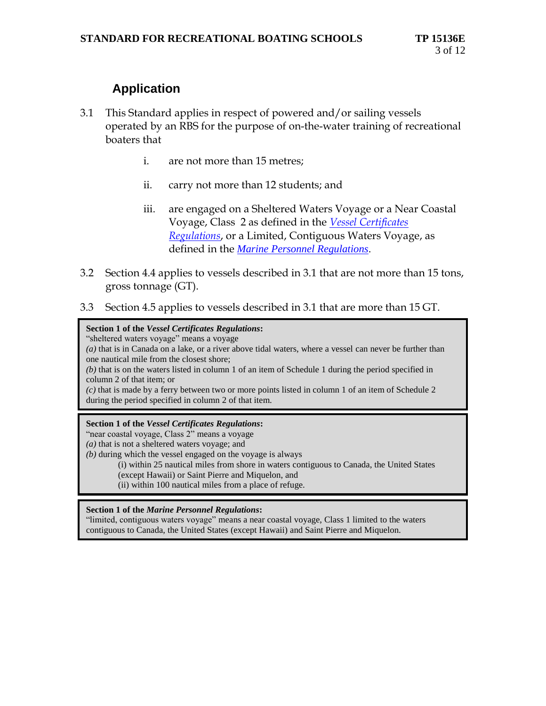# **Application**

- 3.1 This Standard applies in respect of powered and/or sailing vessels operated by an RBS for the purpose of on-the-water training of recreational boaters that
	- i. are not more than 15 metres;
	- ii. carry not more than 12 students; and
	- iii. are engaged on a Sheltered Waters Voyage or a Near Coastal Voyage, Class 2 as defined in the *[Vessel Certificates](http://laws-lois.justice.gc.ca/eng/regulations/SOR-2007-31/index.html)  [Regulations](http://laws-lois.justice.gc.ca/eng/regulations/SOR-2007-31/index.html)*, or a Limited, Contiguous Waters Voyage, as defined in the *[Marine Personnel Regulations](http://laws-lois.justice.gc.ca/eng/regulations/SOR-2007-115/index.html)*.
- 3.2 Section 4.4 applies to vessels described in 3.1 that are not more than 15 tons, gross tonnage (GT).
- 3.3 Section 4.5 applies to vessels described in 3.1 that are more than 15 GT.

#### **Section 1 of the** *Vessel Certificates Regulations***:**

"sheltered waters voyage" means a voyage

*(a)* that is in Canada on a lake, or a river above tidal waters, where a vessel can never be further than one nautical mile from the closest shore;

*(b)* that is on the waters listed in column 1 of an item of Schedule 1 during the period specified in column 2 of that item; or

*(c)* that is made by a ferry between two or more points listed in column 1 of an item of Schedule 2 during the period specified in column 2 of that item.

#### **Section 1 of the** *Vessel Certificates Regulations***:**

"near coastal voyage, Class 2" means a voyage

*(a)* that is not a sheltered waters voyage; and

*(b)* during which the vessel engaged on the voyage is always

(i) within 25 nautical miles from shore in waters contiguous to Canada, the United States (except Hawaii) or Saint Pierre and Miquelon, and

(ii) within 100 nautical miles from a place of refuge.

#### <span id="page-6-0"></span>**Section 1 of the** *Marine Personnel Regulations***:**

"limited, contiguous waters voyage" means a near coastal voyage, Class 1 limited to the waters contiguous to Canada, the United States (except Hawaii) and Saint Pierre and Miquelon.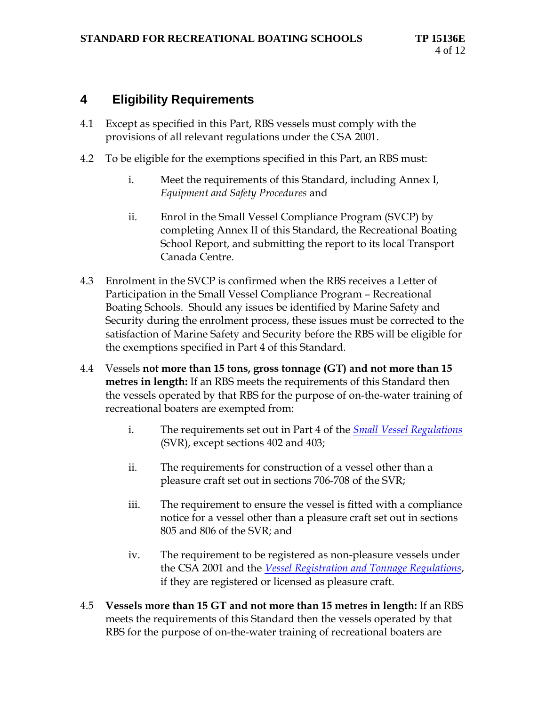## **4 Eligibility Requirements**

- 4.1 Except as specified in this Part, RBS vessels must comply with the provisions of all relevant regulations under the CSA 2001.
- 4.2 To be eligible for the exemptions specified in this Part, an RBS must:
	- i. Meet the requirements of this Standard, including Annex I, *Equipment and Safety Procedures* and
	- ii. Enrol in the Small Vessel Compliance Program (SVCP) by completing Annex II of this Standard, the Recreational Boating School Report, and submitting the report to its local Transport Canada Centre.
- 4.3 Enrolment in the SVCP is confirmed when the RBS receives a Letter of Participation in the Small Vessel Compliance Program – Recreational Boating Schools.Should any issues be identified by Marine Safety and Security during the enrolment process, these issues must be corrected to the satisfaction of Marine Safety and Security before the RBS will be eligible for the exemptions specified in Part 4 of this Standard.
- 4.4 Vessels **not more than 15 tons, gross tonnage (GT) and not more than 15 metres in length:** If an RBS meets the requirements of this Standard then the vessels operated by that RBS for the purpose of on-the-water training of recreational boaters are exempted from:
	- i. The requirements set out in Part 4 of the *[Small Vessel Regulations](http://laws-lois.justice.gc.ca/eng/regulations/SOR-2010-91/index.html)* (SVR), except sections 402 and 403;
	- ii. The requirements for construction of a vessel other than a pleasure craft set out in sections 706-708 of the SVR;
	- iii. The requirement to ensure the vessel is fitted with a compliance notice for a vessel other than a pleasure craft set out in sections 805 and 806 of the SVR; and
	- iv. The requirement to be registered as non-pleasure vessels under the CSA 2001 and the *[Vessel Registration and Tonnage Regulations](http://laws-lois.justice.gc.ca/eng/regulations/SOR-2007-126/index.html)*, if they are registered or licensed as pleasure craft.
- 4.5 **Vessels more than 15 GT and not more than 15 metres in length:** If an RBS meets the requirements of this Standard then the vessels operated by that RBS for the purpose of on-the-water training of recreational boaters are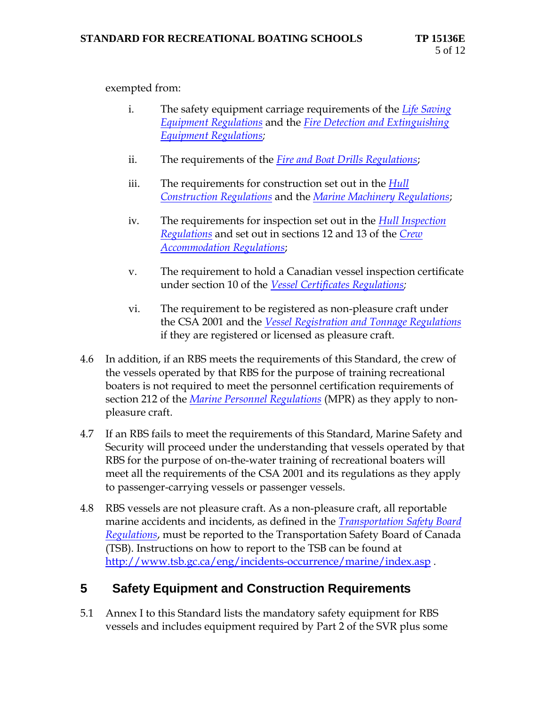exempted from:

- i. The safety equipment carriage requirements of the *[Life Saving](http://laws-lois.justice.gc.ca/eng/regulations/C.R.C.,_c._1436/index.html)  [Equipment Regulations](http://laws-lois.justice.gc.ca/eng/regulations/C.R.C.,_c._1436/index.html)* and the *[Fire Detection and Extinguishing](http://laws-lois.justice.gc.ca/eng/regulations/C.R.C.,_c._1422/index.html)  [Equipment Regulations;](http://laws-lois.justice.gc.ca/eng/regulations/C.R.C.,_c._1422/index.html)*
- ii. The requirements of the *[Fire and Boat Drills Regulations](http://laws-lois.justice.gc.ca/eng/regulations/SOR-2010-83/index.html)*;
- iii. The requirements for construction set out in the *[Hull](http://laws-lois.justice.gc.ca/eng/regulations/C.R.C.,_c._1431/index.html)  [Construction Regulations](http://laws-lois.justice.gc.ca/eng/regulations/C.R.C.,_c._1431/index.html)* and the *[Marine Machinery Regulations](http://laws-lois.justice.gc.ca/eng/regulations/SOR-90-264/index.html)*;
- iv. The requirements for inspection set out in the *[Hull Inspection](http://laws-lois.justice.gc.ca/eng/regulations/C.R.C.,_c._1432/index.html)  [Regulations](http://laws-lois.justice.gc.ca/eng/regulations/C.R.C.,_c._1432/index.html)* and set out in sections 12 and 13 of the *[Crew](http://laws-lois.justice.gc.ca/eng/regulations/C.R.C.,_c._1418/index.html)  [Accommodation Regulations](http://laws-lois.justice.gc.ca/eng/regulations/C.R.C.,_c._1418/index.html)*;
- v. The requirement to hold a Canadian vessel inspection certificate under section 10 of the *[Vessel Certificates Regulations;](http://laws-lois.justice.gc.ca/eng/regulations/SOR-2007-31/index.html)*
- vi. The requirement to be registered as non-pleasure craft under the CSA 2001 and the *[Vessel Registration and Tonnage Regulations](http://laws-lois.justice.gc.ca/eng/regulations/SOR-2007-126/index.html)* if they are registered or licensed as pleasure craft.
- 4.6 In addition, if an RBS meets the requirements of this Standard, the crew of the vessels operated by that RBS for the purpose of training recreational boaters is not required to meet the personnel certification requirements of section 212 of the *[Marine Personnel Regulations](http://laws-lois.justice.gc.ca/eng/regulations/SOR-2007-115/index.html)* (MPR) as they apply to nonpleasure craft.
- 4.7 If an RBS fails to meet the requirements of this Standard, Marine Safety and Security will proceed under the understanding that vessels operated by that RBS for the purpose of on-the-water training of recreational boaters will meet all the requirements of the CSA 2001 and its regulations as they apply to passenger-carrying vessels or passenger vessels.
- 4.8 RBS vessels are not pleasure craft. As a non-pleasure craft, all reportable marine accidents and incidents, as defined in the *[Transportation Safety Board](http://laws-lois.justice.gc.ca/eng/regulations/SOR-92-446/index.html)  [Regulations](http://laws-lois.justice.gc.ca/eng/regulations/SOR-92-446/index.html)*, must be reported to the Transportation Safety Board of Canada (TSB). Instructions on how to report to the TSB can be found at <http://www.tsb.gc.ca/eng/incidents-occurrence/marine/index.asp> .

## <span id="page-8-0"></span>**5 Safety Equipment and Construction Requirements**

5.1 Annex I to this Standard lists the mandatory safety equipment for RBS vessels and includes equipment required by Part 2 of the SVR plus some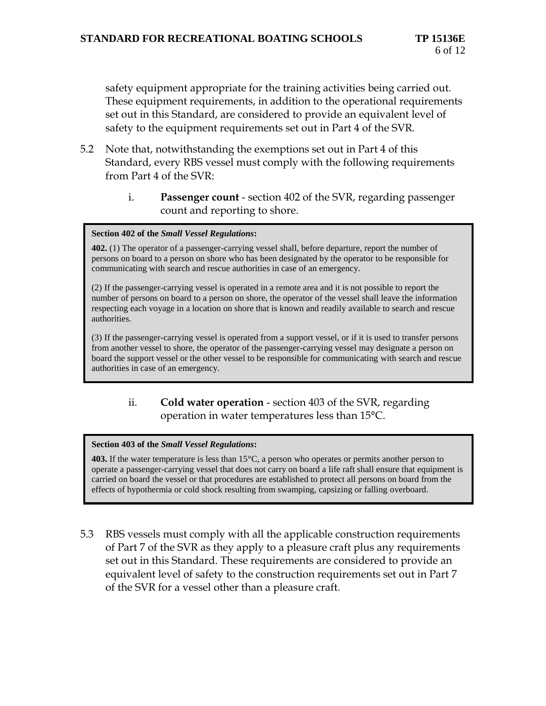safety equipment appropriate for the training activities being carried out*.*  These equipment requirements, in addition to the operational requirements set out in this Standard, are considered to provide an equivalent level of safety to the equipment requirements set out in Part 4 of the SVR*.*

- 5.2 Note that, notwithstanding the exemptions set out in Part 4 of this Standard, every RBS vessel must comply with the following requirements from Part 4 of the SVR:
	- i. **Passenger count** section 402 of the SVR, regarding passenger count and reporting to shore.

#### **Section 402 of the** *Small Vessel Regulations***:**

**402.** (1) The operator of a passenger-carrying vessel shall, before departure, report the number of persons on board to a person on shore who has been designated by the operator to be responsible for communicating with search and rescue authorities in case of an emergency.

(2) If the passenger-carrying vessel is operated in a remote area and it is not possible to report the number of persons on board to a person on shore, the operator of the vessel shall leave the information respecting each voyage in a location on shore that is known and readily available to search and rescue authorities.

(3) If the passenger-carrying vessel is operated from a support vessel, or if it is used to transfer persons from another vessel to shore, the operator of the passenger-carrying vessel may designate a person on board the support vessel or the other vessel to be responsible for communicating with search and rescue authorities in case of an emergency.

### ii. **Cold water operation** - section 403 of the SVR, regarding operation in water temperatures less than 15°C.

#### **Section 403 of the** *Small Vessel Regulations***:**

**403.** If the water temperature is less than 15°C, a person who operates or permits another person to operate a passenger-carrying vessel that does not carry on board a life raft shall ensure that equipment is carried on board the vessel or that procedures are established to protect all persons on board from the effects of hypothermia or cold shock resulting from swamping, capsizing or falling overboard.

5.3 RBS vessels must comply with all the applicable construction requirements of Part 7 of the SVR as they apply to a pleasure craft plus any requirements set out in this Standard. These requirements are considered to provide an equivalent level of safety to the construction requirements set out in Part 7 of the SVR for a vessel other than a pleasure craft*.*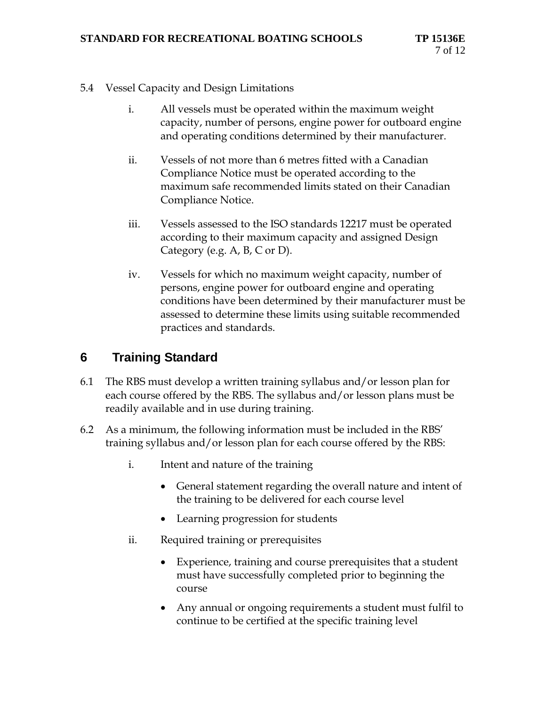- 5.4 Vessel Capacity and Design Limitations
	- i. All vessels must be operated within the maximum weight capacity, number of persons, engine power for outboard engine and operating conditions determined by their manufacturer.
	- ii. Vessels of not more than 6 metres fitted with a Canadian Compliance Notice must be operated according to the maximum safe recommended limits stated on their Canadian Compliance Notice.
	- iii. Vessels assessed to the ISO standards 12217 must be operated according to their maximum capacity and assigned Design Category (e.g. A, B, C or D).
	- iv. Vessels for which no maximum weight capacity, number of persons, engine power for outboard engine and operating conditions have been determined by their manufacturer must be assessed to determine these limits using suitable recommended practices and standards.

# <span id="page-10-0"></span>**6 Training Standard**

- 6.1 The RBS must develop a written training syllabus and/or lesson plan for each course offered by the RBS. The syllabus and/or lesson plans must be readily available and in use during training.
- 6.2 As a minimum, the following information must be included in the RBS' training syllabus and/or lesson plan for each course offered by the RBS:
	- i. Intent and nature of the training
		- General statement regarding the overall nature and intent of the training to be delivered for each course level
		- Learning progression for students
	- ii. Required training or prerequisites
		- Experience, training and course prerequisites that a student must have successfully completed prior to beginning the course
		- Any annual or ongoing requirements a student must fulfil to continue to be certified at the specific training level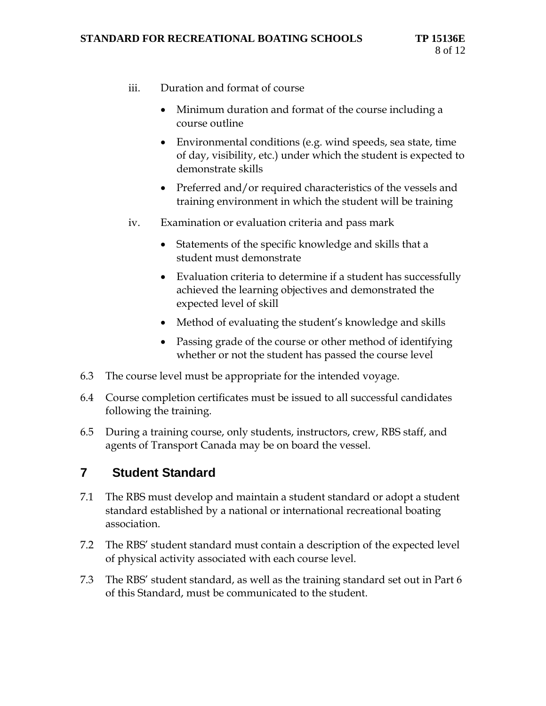- iii. Duration and format of course
	- Minimum duration and format of the course including a course outline
	- Environmental conditions (e.g. wind speeds, sea state, time of day, visibility, etc.) under which the student is expected to demonstrate skills
	- Preferred and/or required characteristics of the vessels and training environment in which the student will be training
- iv. Examination or evaluation criteria and pass mark
	- Statements of the specific knowledge and skills that a student must demonstrate
	- Evaluation criteria to determine if a student has successfully achieved the learning objectives and demonstrated the expected level of skill
	- Method of evaluating the student's knowledge and skills
	- Passing grade of the course or other method of identifying whether or not the student has passed the course level
- 6.3 The course level must be appropriate for the intended voyage.
- 6.4 Course completion certificates must be issued to all successful candidates following the training.
- 6.5 During a training course, only students, instructors, crew, RBS staff, and agents of Transport Canada may be on board the vessel.

## <span id="page-11-0"></span>**7 Student Standard**

- 7.1 The RBS must develop and maintain a student standard or adopt a student standard established by a national or international recreational boating association.
- 7.2 The RBS' student standard must contain a description of the expected level of physical activity associated with each course level.
- 7.3 The RBS' student standard, as well as the training standard set out in Part 6 of this Standard, must be communicated to the student.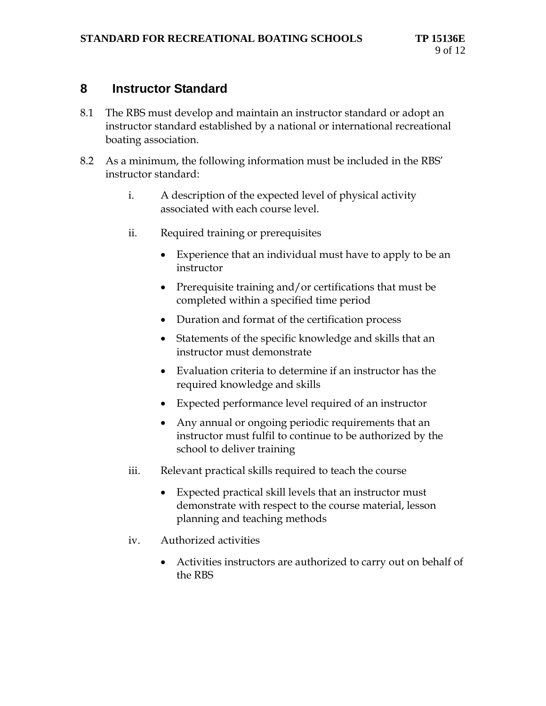## <span id="page-12-0"></span>**8 Instructor Standard**

- 8.1 The RBS must develop and maintain an instructor standard or adopt an instructor standard established by a national or international recreational boating association.
- 8.2 As a minimum, the following information must be included in the RBS' instructor standard:
	- i. A description of the expected level of physical activity associated with each course level.
	- ii. Required training or prerequisites
		- Experience that an individual must have to apply to be an instructor
		- Prerequisite training and/or certifications that must be completed within a specified time period
		- Duration and format of the certification process
		- Statements of the specific knowledge and skills that an instructor must demonstrate
		- Evaluation criteria to determine if an instructor has the required knowledge and skills
		- Expected performance level required of an instructor
		- Any annual or ongoing periodic requirements that an instructor must fulfil to continue to be authorized by the school to deliver training
	- iii. Relevant practical skills required to teach the course
		- Expected practical skill levels that an instructor must demonstrate with respect to the course material, lesson planning and teaching methods
	- iv. Authorized activities
		- Activities instructors are authorized to carry out on behalf of the RBS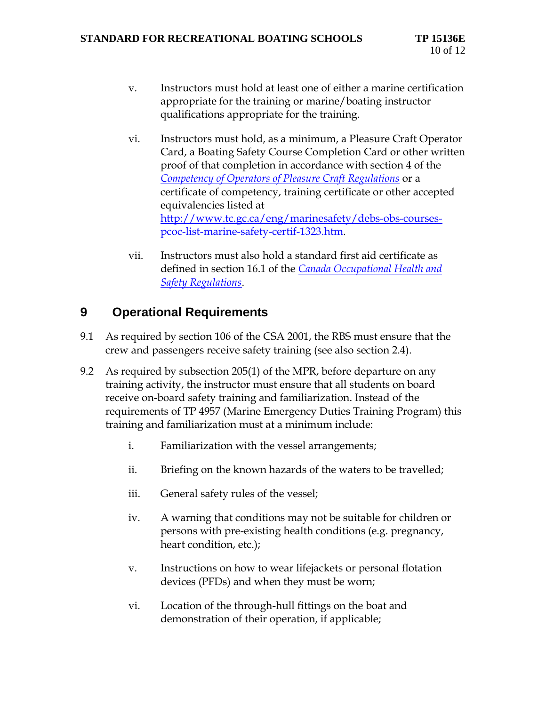- v. Instructors must hold at least one of either a marine certification appropriate for the training or marine/boating instructor qualifications appropriate for the training.
- vi. Instructors must hold, as a minimum, a Pleasure Craft Operator Card, a Boating Safety Course Completion Card or other written proof of that completion in accordance with section 4 of the *[Competency of Operators of Pleasure Craft Regulations](http://laws-lois.justice.gc.ca/eng/regulations/SOR-99-53/index.html)* or a certificate of competency, training certificate or other accepted equivalencies listed at [http://www.tc.gc.ca/eng/marinesafety/debs-obs-courses](http://www.tc.gc.ca/eng/marinesafety/debs-obs-courses-pcoc-list-marine-safety-certif-1323.htm)[pcoc-list-marine-safety-certif-1323.htm.](http://www.tc.gc.ca/eng/marinesafety/debs-obs-courses-pcoc-list-marine-safety-certif-1323.htm)
- vii. Instructors must also hold a standard first aid certificate as defined in section 16.1 of the *[Canada Occupational Health and](http://laws-lois.justice.gc.ca/eng/regulations/SOR-86-304/index.html)  [Safety Regulations](http://laws-lois.justice.gc.ca/eng/regulations/SOR-86-304/index.html)*.

## <span id="page-13-0"></span>**9 Operational Requirements**

- 9.1 As required by section 106 of the CSA 2001, the RBS must ensure that the crew and passengers receive safety training (see also section 2.4).
- 9.2 As required by subsection 205(1) of the MPR, before departure on any training activity, the instructor must ensure that all students on board receive on-board safety training and familiarization. Instead of the requirements of TP 4957 (Marine Emergency Duties Training Program) this training and familiarization must at a minimum include:
	- i. Familiarization with the vessel arrangements;
	- ii. Briefing on the known hazards of the waters to be travelled;
	- iii. General safety rules of the vessel;
	- iv. A warning that conditions may not be suitable for children or persons with pre-existing health conditions (e.g. pregnancy, heart condition, etc.);
	- v. Instructions on how to wear lifejackets or personal flotation devices (PFDs) and when they must be worn;
	- vi. Location of the through-hull fittings on the boat and demonstration of their operation, if applicable;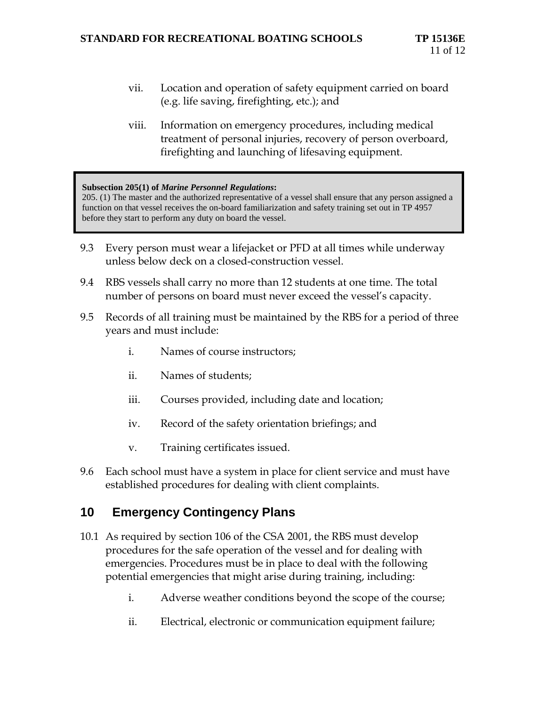- vii. Location and operation of safety equipment carried on board (e.g. life saving, firefighting, etc.); and
- viii. Information on emergency procedures, including medical treatment of personal injuries, recovery of person overboard, firefighting and launching of lifesaving equipment.

#### **Subsection 205(1) of** *Marine Personnel Regulations***:**

205. (1) The master and the authorized representative of a vessel shall ensure that any person assigned a function on that vessel receives the on-board familiarization and safety training set out in TP 4957 before they start to perform any duty on board the vessel.

- 9.3 Every person must wear a lifejacket or PFD at all times while underway unless below deck on a closed-construction vessel.
- 9.4 RBS vessels shall carry no more than 12 students at one time. The total number of persons on board must never exceed the vessel's capacity.
- 9.5 Records of all training must be maintained by the RBS for a period of three years and must include:
	- i. Names of course instructors;
	- ii. Names of students;
	- iii. Courses provided, including date and location;
	- iv. Record of the safety orientation briefings; and
	- v. Training certificates issued.
- 9.6 Each school must have a system in place for client service and must have established procedures for dealing with client complaints.

## <span id="page-14-0"></span>**10 Emergency Contingency Plans**

- 10.1 As required by section 106 of the CSA 2001, the RBS must develop procedures for the safe operation of the vessel and for dealing with emergencies. Procedures must be in place to deal with the following potential emergencies that might arise during training, including:
	- i. Adverse weather conditions beyond the scope of the course;
	- ii. Electrical, electronic or communication equipment failure;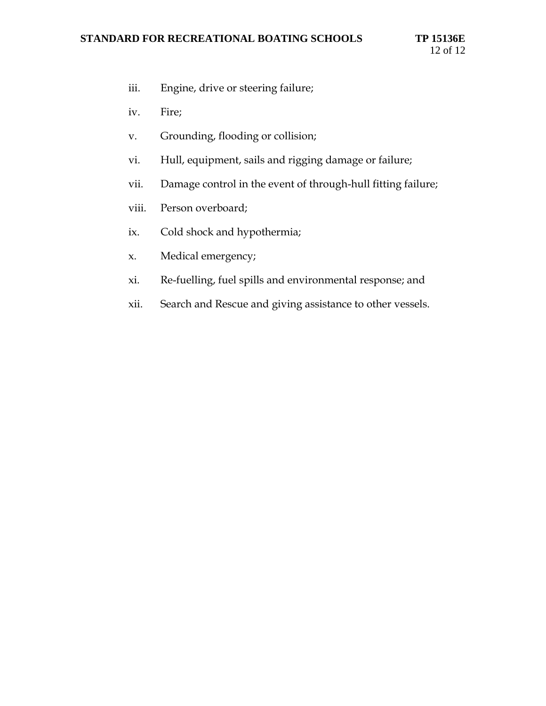- iii. Engine, drive or steering failure;
- iv. Fire;
- v. Grounding, flooding or collision;
- vi. Hull, equipment, sails and rigging damage or failure;
- vii. Damage control in the event of through-hull fitting failure;
- viii. Person overboard;
- ix. Cold shock and hypothermia;
- x. Medical emergency;
- xi. Re-fuelling, fuel spills and environmental response; and
- xii. Search and Rescue and giving assistance to other vessels.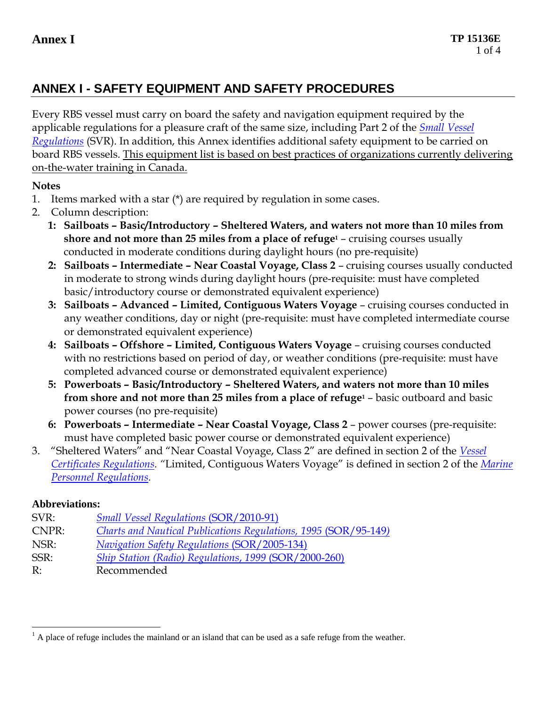# **ANNEX I - SAFETY EQUIPMENT AND SAFETY PROCEDURES**

Every RBS vessel must carry on board the safety and navigation equipment required by the applicable regulations for a pleasure craft of the same size, including Part 2 of the *[Small Vessel](http://laws-lois.justice.gc.ca/eng/regulations/SOR-2010-91/index.html)  [Regulations](http://laws-lois.justice.gc.ca/eng/regulations/SOR-2010-91/index.html)* (SVR). In addition, this Annex identifies additional safety equipment to be carried on board RBS vessels. This equipment list is based on best practices of organizations currently delivering on-the-water training in Canada.

## **Notes**

- 1. Items marked with a star  $(*)$  are required by regulation in some cases.
- 2. Column description:
	- **1: Sailboats – Basic/Introductory – Sheltered Waters, and waters not more than 10 miles from shore and not more than 25 miles from a place of refuge<sup>1</sup>** – cruising courses usually conducted in moderate conditions during daylight hours (no pre-requisite)
	- **2: Sailboats – Intermediate – Near Coastal Voyage, Class 2** cruising courses usually conducted in moderate to strong winds during daylight hours (pre-requisite: must have completed basic/introductory course or demonstrated equivalent experience)
	- **3: Sailboats – Advanced – Limited, Contiguous Waters Voyage** cruising courses conducted in any weather conditions, day or night (pre-requisite: must have completed intermediate course or demonstrated equivalent experience)
	- **4: Sailboats – Offshore – Limited, Contiguous Waters Voyage**  cruising courses conducted with no restrictions based on period of day, or weather conditions (pre-requisite: must have completed advanced course or demonstrated equivalent experience)
	- **5: Powerboats – Basic/Introductory – Sheltered Waters, and waters not more than 10 miles from shore and not more than 25 miles from a place of refuge<sup>1</sup>** – basic outboard and basic power courses (no pre-requisite)
	- **6: Powerboats – Intermediate – Near Coastal Voyage, Class 2**  power courses (pre-requisite: must have completed basic power course or demonstrated equivalent experience)
- 3. "Sheltered Waters" and "Near Coastal Voyage, Class 2" are defined in section 2 of the *[Vessel](http://laws-lois.justice.gc.ca/eng/regulations/SOR-2007-31/index.html)  [Certificates Regulations](http://laws-lois.justice.gc.ca/eng/regulations/SOR-2007-31/index.html). "*Limited, Contiguous Waters Voyage" is defined in section 2 of the *[Marine](http://laws-lois.justice.gc.ca/eng/regulations/SOR-2007-115/index.html)  [Personnel Regulations.](http://laws-lois.justice.gc.ca/eng/regulations/SOR-2007-115/index.html)*

## **Abbreviations:**

| SVR:  | <b>Small Vessel Regulations (SOR/2010-91)</b>                   |
|-------|-----------------------------------------------------------------|
| CNPR: | Charts and Nautical Publications Regulations, 1995 (SOR/95-149) |
| NSR:  | <b>Navigation Safety Regulations (SOR/2005-134)</b>             |
| SSR:  | Ship Station (Radio) Regulations, 1999 (SOR/2000-260)           |
| R:    | Recommended                                                     |

 $\overline{a}$ <sup>1</sup> A place of refuge includes the mainland or an island that can be used as a safe refuge from the weather.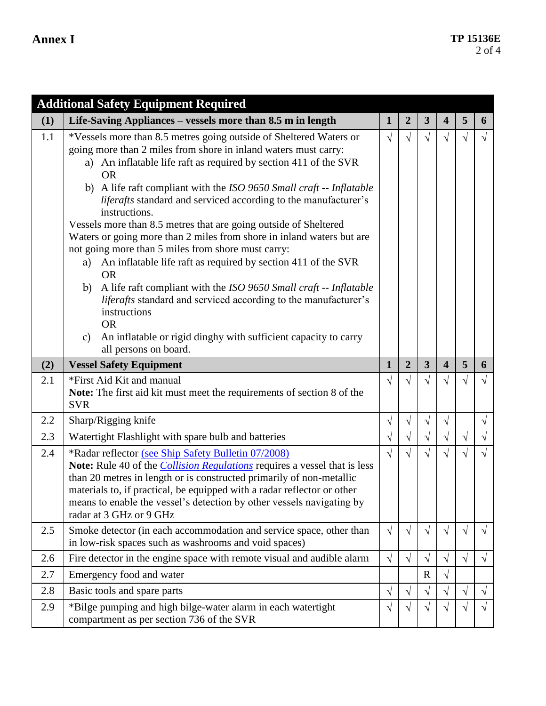|     | <b>Additional Safety Equipment Required</b>                                                                                                                                                                                                                                                                                                                                                                                                                                                                                                                                                                                                                                                                                                                                                                                                                                                                                                                              |              |                |                         |                         |           |           |
|-----|--------------------------------------------------------------------------------------------------------------------------------------------------------------------------------------------------------------------------------------------------------------------------------------------------------------------------------------------------------------------------------------------------------------------------------------------------------------------------------------------------------------------------------------------------------------------------------------------------------------------------------------------------------------------------------------------------------------------------------------------------------------------------------------------------------------------------------------------------------------------------------------------------------------------------------------------------------------------------|--------------|----------------|-------------------------|-------------------------|-----------|-----------|
| (1) | Life-Saving Appliances - vessels more than 8.5 m in length                                                                                                                                                                                                                                                                                                                                                                                                                                                                                                                                                                                                                                                                                                                                                                                                                                                                                                               | $\mathbf{1}$ | $\overline{2}$ | $\overline{\mathbf{3}}$ | $\overline{\mathbf{4}}$ | 5         | 6         |
| 1.1 | *Vessels more than 8.5 metres going outside of Sheltered Waters or<br>going more than 2 miles from shore in inland waters must carry:<br>a) An inflatable life raft as required by section 411 of the SVR<br><b>OR</b><br>b) A life raft compliant with the ISO 9650 Small craft -- Inflatable<br>liferafts standard and serviced according to the manufacturer's<br>instructions.<br>Vessels more than 8.5 metres that are going outside of Sheltered<br>Waters or going more than 2 miles from shore in inland waters but are<br>not going more than 5 miles from shore must carry:<br>An inflatable life raft as required by section 411 of the SVR<br>a)<br><b>OR</b><br>A life raft compliant with the ISO 9650 Small craft -- Inflatable<br>b)<br><i>liferafts</i> standard and serviced according to the manufacturer's<br>instructions<br><b>OR</b><br>An inflatable or rigid dinghy with sufficient capacity to carry<br>$\mathcal{C}$<br>all persons on board. | $\sqrt{ }$   | $\sqrt{}$      | $\sqrt{}$               | $\sqrt{}$               | V         |           |
| (2) | <b>Vessel Safety Equipment</b>                                                                                                                                                                                                                                                                                                                                                                                                                                                                                                                                                                                                                                                                                                                                                                                                                                                                                                                                           | $\mathbf{1}$ | $\overline{2}$ | $\overline{\mathbf{3}}$ | $\overline{\mathbf{4}}$ | 5         | 6         |
| 2.1 | *First Aid Kit and manual<br>Note: The first aid kit must meet the requirements of section 8 of the<br><b>SVR</b>                                                                                                                                                                                                                                                                                                                                                                                                                                                                                                                                                                                                                                                                                                                                                                                                                                                        | $\sqrt{ }$   |                | √                       | $\sqrt{}$               | V         |           |
| 2.2 | Sharp/Rigging knife                                                                                                                                                                                                                                                                                                                                                                                                                                                                                                                                                                                                                                                                                                                                                                                                                                                                                                                                                      | $\sqrt{}$    | $\sqrt{ }$     | $\sqrt{}$               | $\sqrt{ }$              |           | $\sqrt{}$ |
| 2.3 | Watertight Flashlight with spare bulb and batteries                                                                                                                                                                                                                                                                                                                                                                                                                                                                                                                                                                                                                                                                                                                                                                                                                                                                                                                      | $\sqrt{}$    | $\sqrt{}$      | $\sqrt{}$               | $\sqrt{}$               | $\sqrt{}$ | $\sqrt{}$ |
| 2.4 | *Radar reflector (see Ship Safety Bulletin 07/2008)<br>Note: Rule 40 of the <i>Collision Regulations</i> requires a vessel that is less<br>than 20 metres in length or is constructed primarily of non-metallic<br>materials to, if practical, be equipped with a radar reflector or other<br>means to enable the vessel's detection by other vessels navigating by<br>radar at 3 GHz or 9 GHz                                                                                                                                                                                                                                                                                                                                                                                                                                                                                                                                                                           | $\sqrt{ }$   |                | $\sqrt{}$               |                         |           |           |
| 2.5 | Smoke detector (in each accommodation and service space, other than<br>in low-risk spaces such as washrooms and void spaces)                                                                                                                                                                                                                                                                                                                                                                                                                                                                                                                                                                                                                                                                                                                                                                                                                                             | $\sqrt{ }$   | $\sqrt{ }$     | $\sqrt{}$               | $\sqrt{}$               | $\sqrt{}$ | V         |
| 2.6 | Fire detector in the engine space with remote visual and audible alarm                                                                                                                                                                                                                                                                                                                                                                                                                                                                                                                                                                                                                                                                                                                                                                                                                                                                                                   | $\sqrt{}$    | $\sqrt{}$      | $\sqrt{}$               | $\sqrt{}$               | $\sqrt{}$ | V         |
| 2.7 | Emergency food and water                                                                                                                                                                                                                                                                                                                                                                                                                                                                                                                                                                                                                                                                                                                                                                                                                                                                                                                                                 |              |                | $\mathbf R$             | $\sqrt{}$               |           |           |
| 2.8 | Basic tools and spare parts                                                                                                                                                                                                                                                                                                                                                                                                                                                                                                                                                                                                                                                                                                                                                                                                                                                                                                                                              | $\sqrt{ }$   | $\sqrt{ }$     | $\sqrt{}$               | V                       | $\sqrt{}$ | V         |
| 2.9 | *Bilge pumping and high bilge-water alarm in each watertight<br>compartment as per section 736 of the SVR                                                                                                                                                                                                                                                                                                                                                                                                                                                                                                                                                                                                                                                                                                                                                                                                                                                                | $\sqrt{}$    | V              | $\sqrt{}$               | V                       | $\sqrt{}$ |           |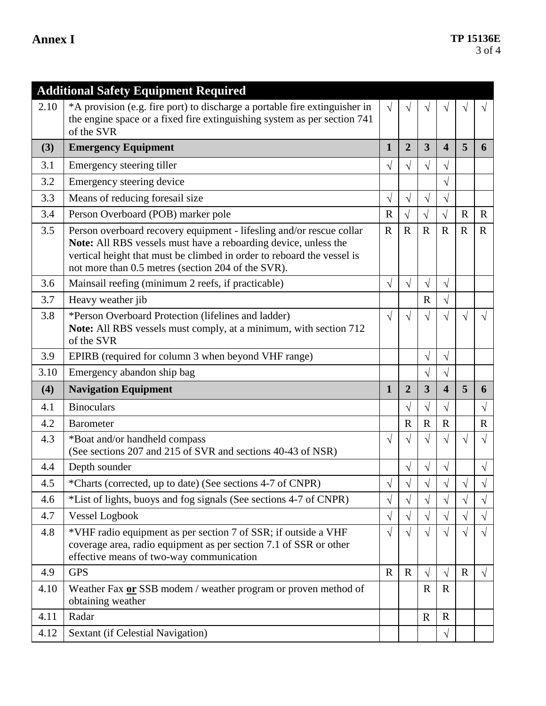|      | <b>Additional Safety Equipment Required</b>                                                                                                                                                                                                                             |              |                |                |                         |             |              |
|------|-------------------------------------------------------------------------------------------------------------------------------------------------------------------------------------------------------------------------------------------------------------------------|--------------|----------------|----------------|-------------------------|-------------|--------------|
| 2.10 | *A provision (e.g. fire port) to discharge a portable fire extinguisher in<br>the engine space or a fixed fire extinguishing system as per section 741<br>of the SVR                                                                                                    | $\sqrt{ }$   |                |                |                         |             |              |
| (3)  | <b>Emergency Equipment</b>                                                                                                                                                                                                                                              | $\mathbf{1}$ | $\overline{2}$ | $\overline{3}$ | $\overline{\mathbf{4}}$ | 5           | 6            |
| 3.1  | Emergency steering tiller                                                                                                                                                                                                                                               | $\sqrt{}$    | $\sqrt{}$      | $\sqrt{ }$     | $\sqrt{}$               |             |              |
| 3.2  | Emergency steering device                                                                                                                                                                                                                                               |              |                |                | $\sqrt{}$               |             |              |
| 3.3  | Means of reducing foresail size                                                                                                                                                                                                                                         | $\sqrt{}$    | $\sqrt{}$      | $\sqrt{}$      | $\sqrt{}$               |             |              |
| 3.4  | Person Overboard (POB) marker pole                                                                                                                                                                                                                                      | $\mathbf R$  | $\sqrt{ }$     | $\sqrt{ }$     | $\sqrt{ }$              | $\mathbf R$ | $\mathbf R$  |
| 3.5  | Person overboard recovery equipment - lifesling and/or rescue collar<br>Note: All RBS vessels must have a reboarding device, unless the<br>vertical height that must be climbed in order to reboard the vessel is<br>not more than 0.5 metres (section 204 of the SVR). | $\mathbf{R}$ | $\mathbf R$    | $\mathbf R$    | $\mathbf R$             | $\mathbf R$ | $\mathbf{R}$ |
| 3.6  | Mainsail reefing (minimum 2 reefs, if practicable)                                                                                                                                                                                                                      | $\sqrt{ }$   | $\sqrt{ }$     | $\sqrt{ }$     | $\sqrt{}$               |             |              |
| 3.7  | Heavy weather jib                                                                                                                                                                                                                                                       |              |                | $\mathbf R$    | $\sqrt{}$               |             |              |
| 3.8  | *Person Overboard Protection (lifelines and ladder)<br>Note: All RBS vessels must comply, at a minimum, with section 712<br>of the SVR                                                                                                                                  | $\sqrt{ }$   | $\sqrt{ }$     | $\sqrt{}$      |                         |             |              |
| 3.9  | EPIRB (required for column 3 when beyond VHF range)                                                                                                                                                                                                                     |              |                | $\sqrt{ }$     | $\sqrt{ }$              |             |              |
| 3.10 | Emergency abandon ship bag                                                                                                                                                                                                                                              |              |                | $\sqrt{}$      | $\sqrt{}$               |             |              |
| (4)  | <b>Navigation Equipment</b>                                                                                                                                                                                                                                             | $\mathbf{1}$ | $\overline{2}$ | 3              | $\overline{\mathbf{4}}$ | 5           | 6            |
| 4.1  | <b>Binoculars</b>                                                                                                                                                                                                                                                       |              | $\sqrt{}$      | $\sqrt{ }$     | $\sqrt{}$               |             | $\sqrt{ }$   |
| 4.2  | <b>Barometer</b>                                                                                                                                                                                                                                                        |              | $\mathbf R$    | $\mathbf R$    | $\mathbf R$             |             | $\mathbf R$  |
| 4.3  | *Boat and/or handheld compass<br>(See sections 207 and 215 of SVR and sections 40-43 of NSR)                                                                                                                                                                            | $\sqrt{}$    |                | $\sqrt{ }$     |                         |             | $\sqrt{}$    |
| 4.4  | Depth sounder                                                                                                                                                                                                                                                           |              | $\sqrt{}$      | V              | √                       |             | $\sqrt{}$    |
| 4.5  | *Charts (corrected, up to date) (See sections 4-7 of CNPR)                                                                                                                                                                                                              | V            | V              |                | V                       |             | V            |
| 4.6  | *List of lights, buoys and fog signals (See sections 4-7 of CNPR)                                                                                                                                                                                                       | V            | $\sqrt{}$      | V              | $\sqrt{}$               | $\sqrt{}$   | √            |
| 4.7  | <b>Vessel Logbook</b>                                                                                                                                                                                                                                                   | V            | $\sqrt{}$      | $\sqrt{}$      | $\sqrt{}$               | $\sqrt{}$   | $\sqrt{}$    |
| 4.8  | *VHF radio equipment as per section 7 of SSR; if outside a VHF<br>coverage area, radio equipment as per section 7.1 of SSR or other<br>effective means of two-way communication                                                                                         | $\sqrt{ }$   | $\sqrt{}$      | √              | $\sqrt{}$               | $\sqrt{ }$  | $\sqrt{ }$   |
| 4.9  | <b>GPS</b>                                                                                                                                                                                                                                                              | $\mathbf R$  | $\mathbf R$    | $\sqrt{}$      | $\sqrt{}$               | $\mathbf R$ | $\sqrt{ }$   |
| 4.10 | Weather Fax or SSB modem / weather program or proven method of<br>obtaining weather                                                                                                                                                                                     |              |                | $\mathbf R$    | $\mathbf R$             |             |              |
| 4.11 | Radar                                                                                                                                                                                                                                                                   |              |                | $\mathbb{R}$   | $\mathbf R$             |             |              |
| 4.12 | Sextant (if Celestial Navigation)                                                                                                                                                                                                                                       |              |                |                | $\sqrt{}$               |             |              |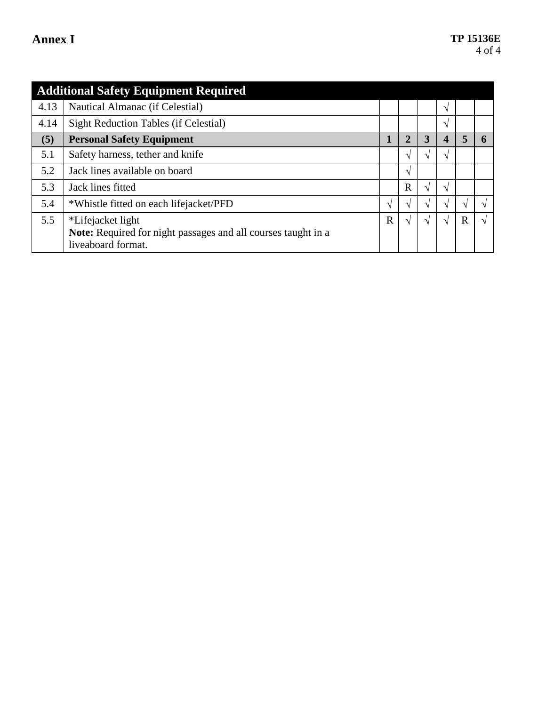|      | <b>Additional Safety Equipment Required</b>                                        |               |                |    |               |               |   |
|------|------------------------------------------------------------------------------------|---------------|----------------|----|---------------|---------------|---|
| 4.13 | Nautical Almanac (if Celestial)                                                    |               |                |    | $\sqrt{ }$    |               |   |
| 4.14 | <b>Sight Reduction Tables (if Celestial)</b>                                       |               |                |    | $\mathcal{N}$ |               |   |
| (5)  | <b>Personal Safety Equipment</b>                                                   | 1             | $\overline{2}$ | 3  | 4             | 5             |   |
| 5.1  | Safety harness, tether and knife                                                   |               | $\Delta$       |    | N             |               |   |
| 5.2  | Jack lines available on board                                                      |               | $\mathcal{N}$  |    |               |               |   |
| 5.3  | Jack lines fitted                                                                  |               | $\mathbf R$    |    | $\sqrt{ }$    |               |   |
| 5.4  | *Whistle fitted on each lifejacket/PFD                                             | $\mathcal{N}$ | ا^             | اد | N             | $\mathcal{L}$ |   |
| 5.5  | *Lifejacket light<br>Note: Required for night passages and all courses taught in a | $\mathbf R$   | ا^             |    | $\sqrt{ }$    | $\mathbb{R}$  | N |
|      | liveaboard format.                                                                 |               |                |    |               |               |   |